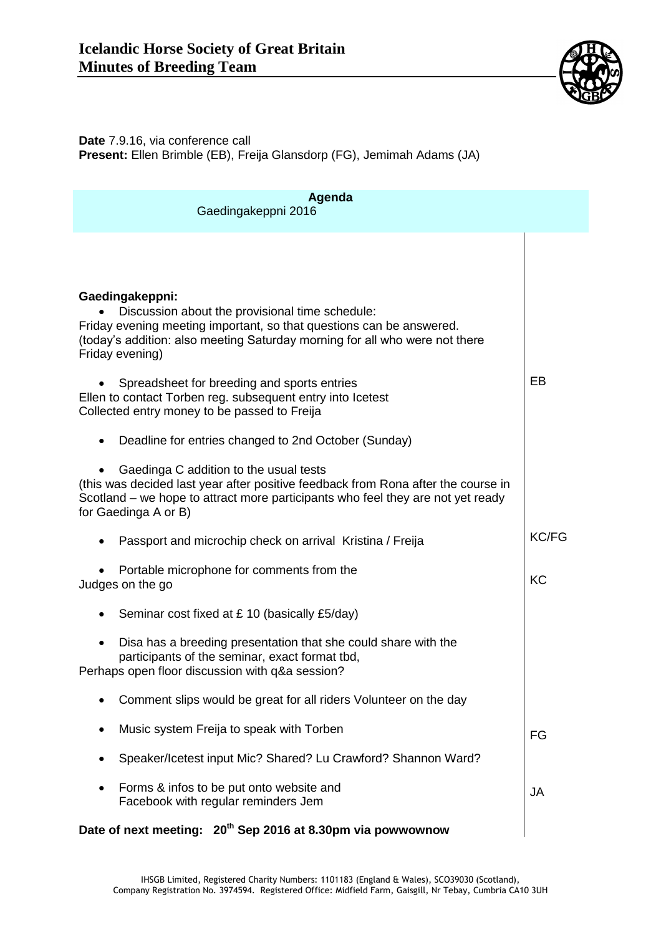

**Date** 7.9.16, via conference call **Present:** Ellen Brimble (EB), Freija Glansdorp (FG), Jemimah Adams (JA)

| Agenda<br>Gaedingakeppni 2016                                                                                                                                                                                                                |              |
|----------------------------------------------------------------------------------------------------------------------------------------------------------------------------------------------------------------------------------------------|--------------|
|                                                                                                                                                                                                                                              |              |
| Gaedingakeppni:<br>Discussion about the provisional time schedule:<br>Friday evening meeting important, so that questions can be answered.<br>(today's addition: also meeting Saturday morning for all who were not there<br>Friday evening) |              |
| Spreadsheet for breeding and sports entries<br>Ellen to contact Torben reg. subsequent entry into Icetest<br>Collected entry money to be passed to Freija                                                                                    | EB           |
| Deadline for entries changed to 2nd October (Sunday)<br>$\bullet$                                                                                                                                                                            |              |
| Gaedinga C addition to the usual tests<br>(this was decided last year after positive feedback from Rona after the course in<br>Scotland – we hope to attract more participants who feel they are not yet ready<br>for Gaedinga A or B)       |              |
| Passport and microchip check on arrival Kristina / Freija                                                                                                                                                                                    | <b>KC/FG</b> |
| Portable microphone for comments from the<br>Judges on the go                                                                                                                                                                                | KC           |
| Seminar cost fixed at £10 (basically £5/day)                                                                                                                                                                                                 |              |
| Disa has a breeding presentation that she could share with the<br>participants of the seminar, exact format tbd,<br>Perhaps open floor discussion with q&a session?                                                                          |              |
| Comment slips would be great for all riders Volunteer on the day                                                                                                                                                                             |              |
| Music system Freija to speak with Torben                                                                                                                                                                                                     | FG           |
| Speaker/Icetest input Mic? Shared? Lu Crawford? Shannon Ward?                                                                                                                                                                                |              |
| Forms & infos to be put onto website and<br>Facebook with regular reminders Jem                                                                                                                                                              | JA           |
| Date of next meeting: 20 <sup>th</sup> Sep 2016 at 8.30pm via powwownow                                                                                                                                                                      |              |